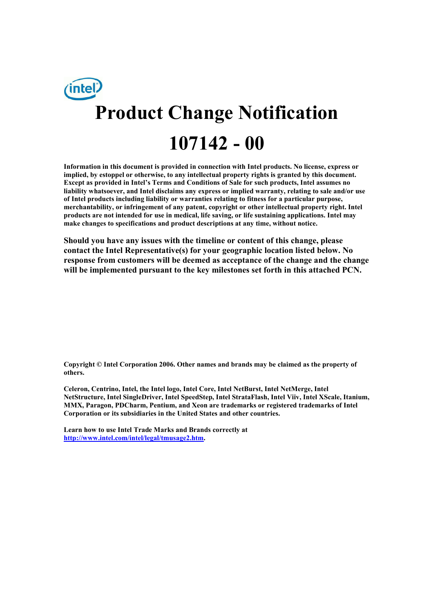# intel/ **Product Change Notification 107142 - 00**

**Information in this document is provided in connection with Intel products. No license, express or implied, by estoppel or otherwise, to any intellectual property rights is granted by this document. Except as provided in Intel's Terms and Conditions of Sale for such products, Intel assumes no liability whatsoever, and Intel disclaims any express or implied warranty, relating to sale and/or use of Intel products including liability or warranties relating to fitness for a particular purpose, merchantability, or infringement of any patent, copyright or other intellectual property right. Intel products are not intended for use in medical, life saving, or life sustaining applications. Intel may make changes to specifications and product descriptions at any time, without notice.** 

**Should you have any issues with the timeline or content of this change, please contact the Intel Representative(s) for your geographic location listed below. No response from customers will be deemed as acceptance of the change and the change will be implemented pursuant to the key milestones set forth in this attached PCN.** 

**Copyright © Intel Corporation 2006. Other names and brands may be claimed as the property of others.**

**Celeron, Centrino, Intel, the Intel logo, Intel Core, Intel NetBurst, Intel NetMerge, Intel NetStructure, Intel SingleDriver, Intel SpeedStep, Intel StrataFlash, Intel Viiv, Intel XScale, Itanium, MMX, Paragon, PDCharm, Pentium, and Xeon are trademarks or registered trademarks of Intel Corporation or its subsidiaries in the United States and other countries.** 

**Learn how to use Intel Trade Marks and Brands correctly at http://www.intel.com/intel/legal/tmusage2.htm.**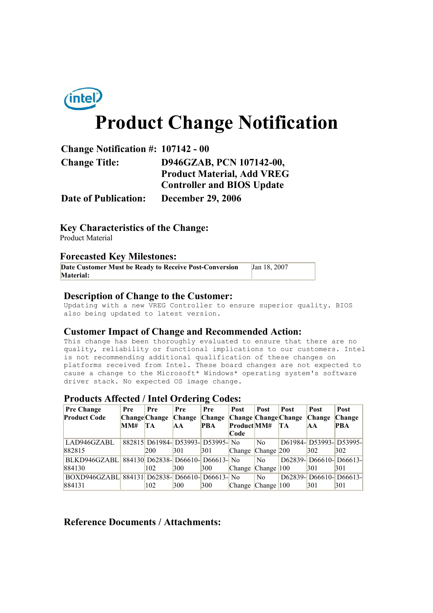

## **Product Change Notification**

| <b>Change Notification #: 107142 - 00</b> |                                   |
|-------------------------------------------|-----------------------------------|
| <b>Change Title:</b>                      | D946GZAB, PCN 107142-00,          |
|                                           | <b>Product Material, Add VREG</b> |
|                                           | <b>Controller and BIOS Update</b> |
| <b>Date of Publication:</b>               | <b>December 29, 2006</b>          |

**Key Characteristics of the Change:** Product Material

#### **Forecasted Key Milestones:**

| Date Customer Must be Ready to Receive Post-Conversion | Jan 18, 2007 |
|--------------------------------------------------------|--------------|
| <b>Material:</b>                                       |              |

#### **Description of Change to the Customer:**

Updating with a new VREG Controller to ensure superior quality. BIOS also being updated to latest version.

#### **Customer Impact of Change and Recommended Action:**

This change has been thoroughly evaluated to ensure that there are no quality, reliability or functional implications to our customers. Intel is not recommending additional qualification of these changes on platforms received from Intel. These board changes are not expected to cause a change to the Microsoft\* Windows\* operating system's software driver stack. No expected OS image change.

#### **Products Affected / Intel Ordering Codes:**

| <b>Pre Change</b><br><b>Product Code</b>       | Pre | Pre<br><b>Change Change</b> | Pre<br><b>Change</b>              | Pre<br>Change Change Change Change | <b>Post</b>                     | Post           | Post | Post<br><b>Change</b> | Post<br><b>Change</b> |
|------------------------------------------------|-----|-----------------------------|-----------------------------------|------------------------------------|---------------------------------|----------------|------|-----------------------|-----------------------|
|                                                | MM# | TA                          | <b>AA</b>                         | <b>PBA</b>                         | ProductMM#                      |                | TA   | <b>AA</b>             | <b>PBA</b>            |
|                                                |     |                             |                                   |                                    | Code                            |                |      |                       |                       |
| LAD946GZABL                                    |     |                             | 882815 D61984- D53993- D53995- No |                                    |                                 | No             |      | D61984-D53993-D53995- |                       |
| 882815                                         |     | 200                         | 301                               | 301                                | Change Change 200               |                |      | 302                   | 302                   |
| BLKD946GZABL                                   |     |                             | 884130 D62838- D66610- D66613- No |                                    |                                 | N <sub>0</sub> |      | D62839-D66610-D66613- |                       |
| 884130                                         |     | 102                         | 300                               | 300                                | Change Change 100               |                |      | 301                   | 301                   |
| BOXD946GZABL 884131 D62838- D66610- D66613- No |     |                             |                                   |                                    |                                 | N <sub>0</sub> |      | D62839-D66610-D66613- |                       |
| 884131                                         |     | 102                         | 300                               | 300                                | Change $\Box$ Change $\Box$ 100 |                |      | 301                   | 301                   |

#### **Reference Documents / Attachments:**